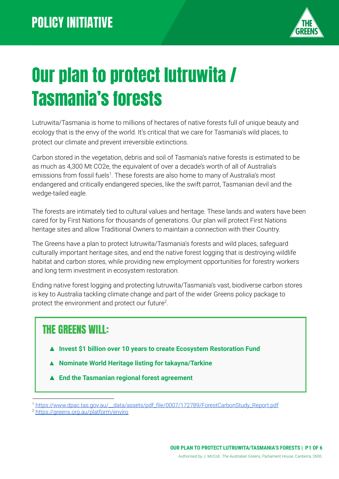

# Our plan to protect lutruwita / Tasmania's forests

Lutruwita/Tasmania is home to millions of hectares of native forests full of unique beauty and ecology that is the envy of the world. It's critical that we care for Tasmania's wild places, to protect our climate and prevent irreversible extinctions.

Carbon stored in the vegetation, debris and soil of Tasmania's native forests is estimated to be as much as 4,300 Mt CO2e, the equivalent of over a decade's worth of all of Australia's emissions from fossil fuels<sup>1</sup>. These forests are also home to many of Australia's most endangered and critically endangered species, like the swift parrot, Tasmanian devil and the wedge-tailed eagle.

The forests are intimately tied to cultural values and heritage. These lands and waters have been cared for by First Nations for thousands of generations. Our plan will protect First Nations heritage sites and allow Traditional Owners to maintain a connection with their Country.

The Greens have a plan to protect lutruwita/Tasmania's forests and wild places, safeguard culturally important heritage sites, and end the native forest logging that is destroying wildlife habitat and carbon stores, while providing new employment opportunities for forestry workers and long term investment in ecosystem restoration.

Ending native forest logging and protecting lutruwita/Tasmania's vast, biodiverse carbon stores is key to Australia tackling climate change and part of the wider Greens policy package to protect the environment and protect our future<sup>2</sup>.

### THE GREENS WILL:

- ▲ **Invest \$1 billion over 10 years to create Ecosystem Restoration Fund**
- **▲ Nominate World Heritage listing for takayna/Tarkine**
- **▲ End the Tasmanian regional forest agreement**

<sup>1</sup> [https://www.dpac.tas.gov.au/\\_\\_data/assets/pdf\\_file/0007/172789/ForestCarbonStudy\\_Report.pdf](https://www.dpac.tas.gov.au/__data/assets/pdf_file/0007/172789/ForestCarbonStudy_Report.pdf)

<sup>2</sup> <https://greens.org.au/platform/enviro>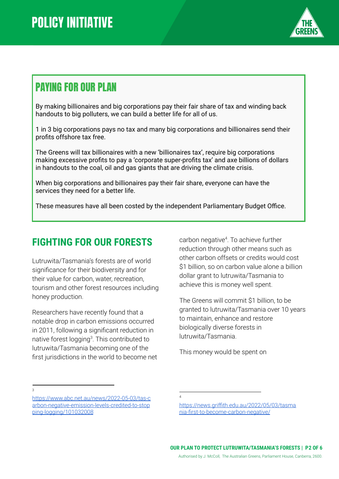

### PAYING FOR OUR PLAN

By making billionaires and big corporations pay their fair share of tax and winding back handouts to big polluters, we can build a better life for all of us.

1 in 3 big corporations pays no tax and many big corporations and billionaires send their profits offshore tax free.

The Greens will tax billionaires with a new 'billionaires tax', require big corporations making excessive profits to pay a 'corporate super-profits tax' and axe billions of dollars in handouts to the coal, oil and gas giants that are driving the climate crisis.

When big corporations and billionaires pay their fair share, everyone can have the services they need for a better life.

These measures have all been costed by the independent Parliamentary Budget Office.

#### **FIGHTING FOR OUR FORESTS**

Lutruwita/Tasmania's forests are of world significance for their biodiversity and for their value for carbon, water, recreation, tourism and other forest resources including honey production.

Researchers have recently found that a notable drop in carbon emissions occurred in 2011, following a significant reduction in native forest logging<sup>3</sup>. This contributed to lutruwita/Tasmania becoming one of the first jurisdictions in the world to become net

carbon negative<sup>4</sup>. To achieve further reduction through other means such as other carbon offsets or credits would cost \$1 billion, so on carbon value alone a billion dollar grant to lutruwita/Tasmania to achieve this is money well spent.

The Greens will commit \$1 billion, to be granted to lutruwita/Tasmania over 10 years to maintain, enhance and restore biologically diverse forests in lutruwita/Tasmania.

This money would be spent on

 $\overline{3}$ 

[https://www.abc.net.au/news/2022-05-03/tas-c](https://www.abc.net.au/news/2022-05-03/tas-carbon-negative-emission-levels-credited-to-stopping-logging/101032008) [arbon-negative-emission-levels-credited-to-stop](https://www.abc.net.au/news/2022-05-03/tas-carbon-negative-emission-levels-credited-to-stopping-logging/101032008) [ping-logging/101032008](https://www.abc.net.au/news/2022-05-03/tas-carbon-negative-emission-levels-credited-to-stopping-logging/101032008)

<sup>4</sup>

[https://news.griffith.edu.au/2022/05/03/tasma](https://news.griffith.edu.au/2022/05/03/tasmania-first-to-become-carbon-negative/) [nia-first-to-become-carbon-negative/](https://news.griffith.edu.au/2022/05/03/tasmania-first-to-become-carbon-negative/)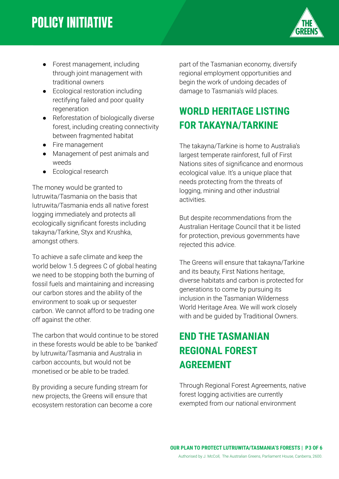## **POLICY INITIATIVE**



- Forest management, including through joint management with traditional owners
- Ecological restoration including rectifying failed and poor quality regeneration
- Reforestation of biologically diverse forest, including creating connectivity between fragmented habitat
- Fire management
- Management of pest animals and weeds
- Ecological research

The money would be granted to lutruwita/Tasmania on the basis that lutruwita/Tasmania ends all native forest logging immediately and protects all ecologically significant forests including takayna/Tarkine, Styx and Krushka, amongst others.

To achieve a safe climate and keep the world below 1.5 degrees C of global heating we need to be stopping both the burning of fossil fuels and maintaining and increasing our carbon stores and the ability of the environment to soak up or sequester carbon. We cannot afford to be trading one off against the other.

The carbon that would continue to be stored in these forests would be able to be 'banked' by lutruwita/Tasmania and Australia in carbon accounts, but would not be monetised or be able to be traded.

By providing a secure funding stream for new projects, the Greens will ensure that ecosystem restoration can become a core part of the Tasmanian economy, diversify regional employment opportunities and begin the work of undoing decades of damage to Tasmania's wild places.

#### **WORLD HERITAGE LISTING FOR TAKAYNA/TARKINE**

The takayna/Tarkine is home to Australia's largest temperate rainforest, full of First Nations sites of significance and enormous ecological value. It's a unique place that needs protecting from the threats of logging, mining and other industrial activities.

But despite recommendations from the Australian Heritage Council that it be listed for protection, previous governments have rejected this advice.

The Greens will ensure that takayna/Tarkine and its beauty, First Nations heritage, diverse habitats and carbon is protected for generations to come by pursuing its inclusion in the Tasmanian Wilderness World Heritage Area. We will work closely with and be guided by Traditional Owners.

#### **END THE TASMANIAN REGIONAL FOREST AGREEMENT**

Through Regional Forest Agreements, native forest logging activities are currently exempted from our national environment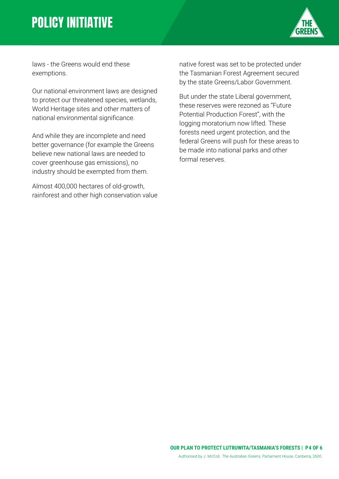### **POLICY INITIATIVE**



laws - the Greens would end these exemptions.

Our national environment laws are designed to protect our threatened species, wetlands, World Heritage sites and other matters of national environmental significance.

And while they are incomplete and need better governance (for example the Greens believe new national laws are needed to cover greenhouse gas emissions), no industry should be exempted from them.

Almost 400,000 hectares of old-growth, rainforest and other high conservation value

native forest was set to be protected under the Tasmanian Forest Agreement secured by the state Greens/Labor Government.

But under the state Liberal government, these reserves were rezoned as "Future Potential Production Forest", with the logging moratorium now lifted. These forests need urgent protection, and the federal Greens will push for these areas to be made into national parks and other formal reserves.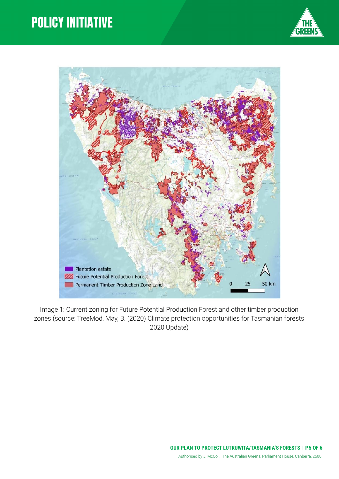### **POLICY INITIATIVE**





Image 1: Current zoning for Future Potential Production Forest and other timber production zones (source: TreeMod, May, B. (2020) Climate protection opportunities for Tasmanian forests 2020 Update)